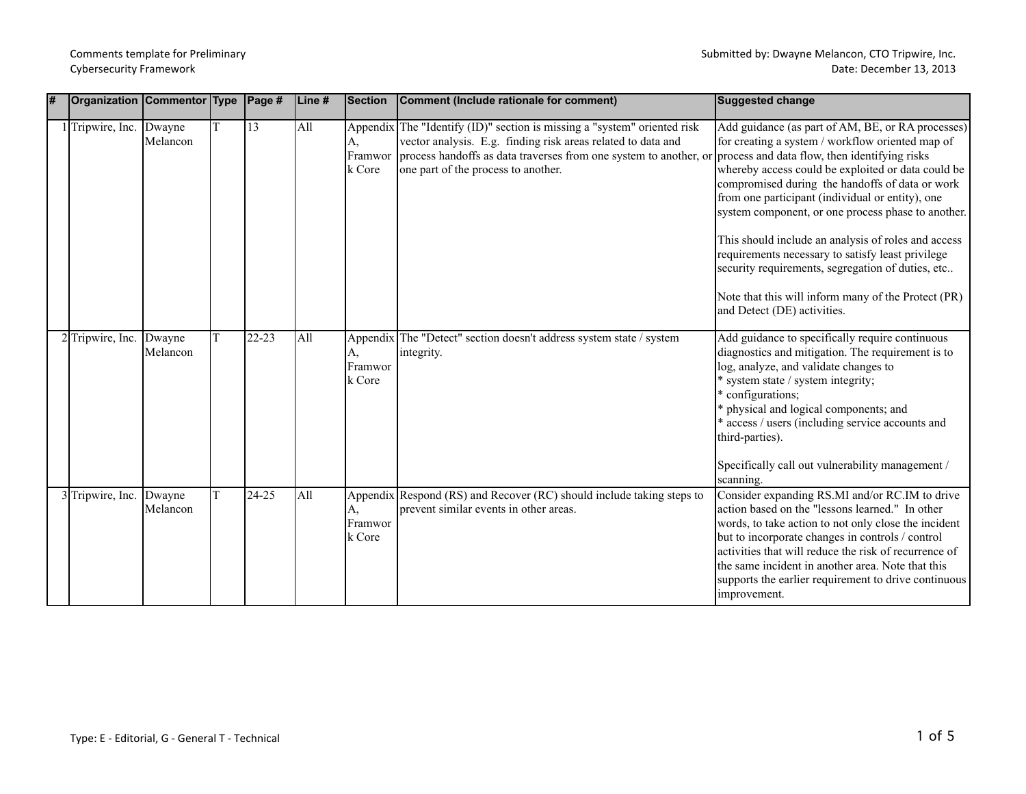|  | <b>Organization Commentor Type</b> |                    |   | $\vert$ Page#   | Line # | Section                 | Comment (Include rationale for comment)                                                                                                                                                                                                              | Suggested change                                                                                                                                                                                                                                                                                                                                                                                                                                                                                                                                                                                                                 |
|--|------------------------------------|--------------------|---|-----------------|--------|-------------------------|------------------------------------------------------------------------------------------------------------------------------------------------------------------------------------------------------------------------------------------------------|----------------------------------------------------------------------------------------------------------------------------------------------------------------------------------------------------------------------------------------------------------------------------------------------------------------------------------------------------------------------------------------------------------------------------------------------------------------------------------------------------------------------------------------------------------------------------------------------------------------------------------|
|  | Tripwire, Inc. Dwayne              | Melancon           | T | $\overline{13}$ | All    | А.<br>Framwor<br>k Core | Appendix The "Identify (ID)" section is missing a "system" oriented risk<br>vector analysis. E.g. finding risk areas related to data and<br>process handoffs as data traverses from one system to another, or<br>one part of the process to another. | Add guidance (as part of AM, BE, or RA processes)<br>for creating a system / workflow oriented map of<br>process and data flow, then identifying risks<br>whereby access could be exploited or data could be<br>compromised during the handoffs of data or work<br>from one participant (individual or entity), one<br>system component, or one process phase to another.<br>This should include an analysis of roles and access<br>requirements necessary to satisfy least privilege<br>security requirements, segregation of duties, etc<br>Note that this will inform many of the Protect (PR)<br>and Detect (DE) activities. |
|  | 2 Tripwire, Inc.                   | Dwayne<br>Melancon |   | 22-23           | All    | А,<br>Framwor<br>k Core | Appendix The "Detect" section doesn't address system state / system<br>integrity.                                                                                                                                                                    | Add guidance to specifically require continuous<br>diagnostics and mitigation. The requirement is to<br>log, analyze, and validate changes to<br>* system state / system integrity;<br>* configurations;<br>* physical and logical components; and<br>* access / users (including service accounts and<br>third-parties).<br>Specifically call out vulnerability management /<br>scanning.                                                                                                                                                                                                                                       |
|  | 3 Tripwire, Inc.                   | Dwayne<br>Melancon |   | 24-25           | All    | А.<br>Framwor<br>k Core | Appendix Respond (RS) and Recover (RC) should include taking steps to<br>prevent similar events in other areas.                                                                                                                                      | Consider expanding RS.MI and/or RC.IM to drive<br>action based on the "lessons learned." In other<br>words, to take action to not only close the incident<br>but to incorporate changes in controls / control<br>activities that will reduce the risk of recurrence of<br>the same incident in another area. Note that this<br>supports the earlier requirement to drive continuous<br>improvement.                                                                                                                                                                                                                              |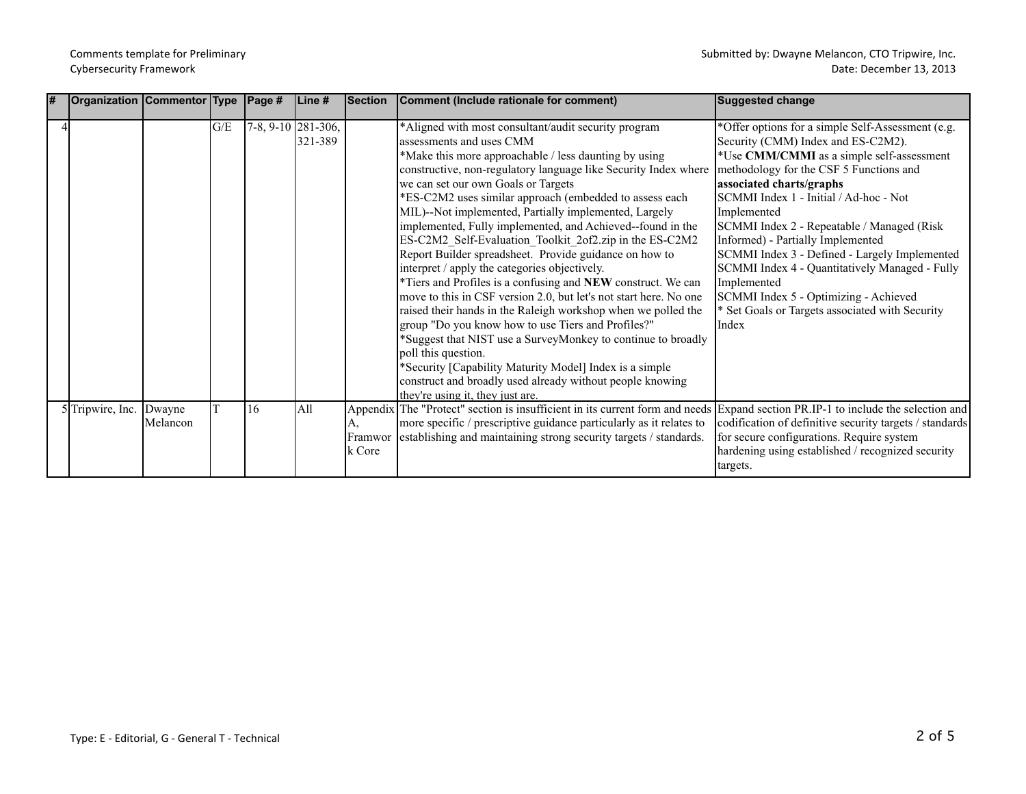| l# | Organization   Commentor   Type   Page # |                    |     |                    | Line #  | Section                 | Comment (Include rationale for comment)                                                                                                                                                                                                                                                                                                                                                                                                                                                                                                                                                                                                                                                                                                                                                                                                                                                                                                                                                                                                                                                                                   | <b>Suggested change</b>                                                                                                                                                                                                                                                                                                                                                                                                                                                                                                                                                        |
|----|------------------------------------------|--------------------|-----|--------------------|---------|-------------------------|---------------------------------------------------------------------------------------------------------------------------------------------------------------------------------------------------------------------------------------------------------------------------------------------------------------------------------------------------------------------------------------------------------------------------------------------------------------------------------------------------------------------------------------------------------------------------------------------------------------------------------------------------------------------------------------------------------------------------------------------------------------------------------------------------------------------------------------------------------------------------------------------------------------------------------------------------------------------------------------------------------------------------------------------------------------------------------------------------------------------------|--------------------------------------------------------------------------------------------------------------------------------------------------------------------------------------------------------------------------------------------------------------------------------------------------------------------------------------------------------------------------------------------------------------------------------------------------------------------------------------------------------------------------------------------------------------------------------|
|    |                                          |                    | G/E | 7-8, 9-10 281-306, | 321-389 |                         | *Aligned with most consultant/audit security program<br>assessments and uses CMM<br>*Make this more approachable / less daunting by using<br>constructive, non-regulatory language like Security Index where<br>we can set our own Goals or Targets<br>*ES-C2M2 uses similar approach (embedded to assess each<br>MIL)--Not implemented, Partially implemented, Largely<br>implemented, Fully implemented, and Achieved-found in the<br>ES-C2M2_Self-Evaluation_Toolkit_2of2.zip in the ES-C2M2<br>Report Builder spreadsheet. Provide guidance on how to<br>interpret / apply the categories objectively.<br>*Tiers and Profiles is a confusing and NEW construct. We can<br>move to this in CSF version 2.0, but let's not start here. No one<br>raised their hands in the Raleigh workshop when we polled the<br>group "Do you know how to use Tiers and Profiles?"<br>*Suggest that NIST use a SurveyMonkey to continue to broadly<br>poll this question.<br>*Security [Capability Maturity Model] Index is a simple<br>construct and broadly used already without people knowing<br>they're using it, they just are. | *Offer options for a simple Self-Assessment (e.g.<br>Security (CMM) Index and ES-C2M2).<br>*Use CMM/CMMI as a simple self-assessment<br>methodology for the CSF 5 Functions and<br>associated charts/graphs<br>SCMMI Index 1 - Initial / Ad-hoc - Not<br>Implemented<br>SCMMI Index 2 - Repeatable / Managed (Risk<br>Informed) - Partially Implemented<br>SCMMI Index 3 - Defined - Largely Implemented<br>SCMMI Index 4 - Quantitatively Managed - Fully<br>Implemented<br>SCMMI Index 5 - Optimizing - Achieved<br>* Set Goals or Targets associated with Security<br>Index |
|    | 5 Tripwire, Inc.                         | Dwayne<br>Melancon |     | 16                 | All     | А.<br>Framwor<br>k Core | Appendix The "Protect" section is insufficient in its current form and needs Expand section PR.IP-1 to include the selection and<br>more specific / prescriptive guidance particularly as it relates to<br>establishing and maintaining strong security targets / standards.                                                                                                                                                                                                                                                                                                                                                                                                                                                                                                                                                                                                                                                                                                                                                                                                                                              | codification of definitive security targets / standards<br>for secure configurations. Require system<br>hardening using established / recognized security<br>targets.                                                                                                                                                                                                                                                                                                                                                                                                          |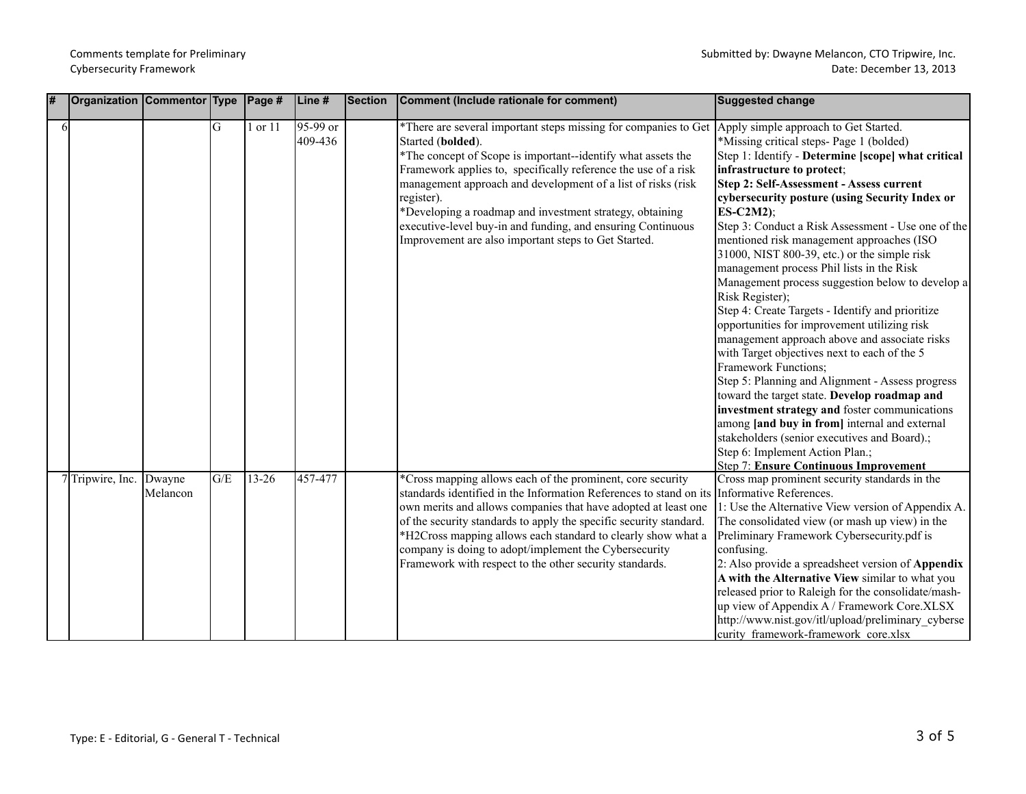| # |   | Organization Commentor Type Page # |                    |     |         | Line #              | <b>Section</b> | Comment (Include rationale for comment)                                                                                                                                                                                                                                                                                                                                                                                                                                                                                       | Suggested change                                                                                                                                                                                                                                                                                                                                                                                                                                                                                                                                                                                                                                                                                                                                                                                                                                                                                                                                                                                                                                                                               |
|---|---|------------------------------------|--------------------|-----|---------|---------------------|----------------|-------------------------------------------------------------------------------------------------------------------------------------------------------------------------------------------------------------------------------------------------------------------------------------------------------------------------------------------------------------------------------------------------------------------------------------------------------------------------------------------------------------------------------|------------------------------------------------------------------------------------------------------------------------------------------------------------------------------------------------------------------------------------------------------------------------------------------------------------------------------------------------------------------------------------------------------------------------------------------------------------------------------------------------------------------------------------------------------------------------------------------------------------------------------------------------------------------------------------------------------------------------------------------------------------------------------------------------------------------------------------------------------------------------------------------------------------------------------------------------------------------------------------------------------------------------------------------------------------------------------------------------|
|   | 6 |                                    |                    | G   | 1 or 11 | 95-99 or<br>409-436 |                | *There are several important steps missing for companies to Get Apply simple approach to Get Started.<br>Started (bolded).<br>*The concept of Scope is important--identify what assets the<br>Framework applies to, specifically reference the use of a risk<br>management approach and development of a list of risks (risk<br>register).<br>*Developing a roadmap and investment strategy, obtaining<br>executive-level buy-in and funding, and ensuring Continuous<br>Improvement are also important steps to Get Started. | *Missing critical steps- Page 1 (bolded)<br>Step 1: Identify - Determine [scope] what critical<br>infrastructure to protect;<br>Step 2: Self-Assessment - Assess current<br>cybersecurity posture (using Security Index or<br>$ES-C2M2$ );<br>Step 3: Conduct a Risk Assessment - Use one of the<br>mentioned risk management approaches (ISO<br>31000, NIST 800-39, etc.) or the simple risk<br>management process Phil lists in the Risk<br>Management process suggestion below to develop a<br>Risk Register);<br>Step 4: Create Targets - Identify and prioritize<br>opportunities for improvement utilizing risk<br>management approach above and associate risks<br>with Target objectives next to each of the 5<br><b>Framework Functions;</b><br>Step 5: Planning and Alignment - Assess progress<br>toward the target state. Develop roadmap and<br>investment strategy and foster communications<br>among [and buy in from] internal and external<br>stakeholders (senior executives and Board).;<br>Step 6: Implement Action Plan.;<br><b>Step 7: Ensure Continuous Improvement</b> |
|   |   | 7 Tripwire, Inc.                   | Dwayne<br>Melancon | G/E | 13-26   | 457-477             |                | *Cross mapping allows each of the prominent, core security<br>standards identified in the Information References to stand on its Informative References.<br>own merits and allows companies that have adopted at least one<br>of the security standards to apply the specific security standard.<br>*H2Cross mapping allows each standard to clearly show what a<br>company is doing to adopt/implement the Cybersecurity<br>Framework with respect to the other security standards.                                          | Cross map prominent security standards in the<br>1: Use the Alternative View version of Appendix A.<br>The consolidated view (or mash up view) in the<br>Preliminary Framework Cybersecurity.pdf is<br>confusing.<br>2: Also provide a spreadsheet version of <b>Appendix</b><br>A with the Alternative View similar to what you<br>released prior to Raleigh for the consolidate/mash-<br>up view of Appendix A / Framework Core.XLSX<br>http://www.nist.gov/itl/upload/preliminary cyberse<br>curity framework-framework core.xlsx                                                                                                                                                                                                                                                                                                                                                                                                                                                                                                                                                           |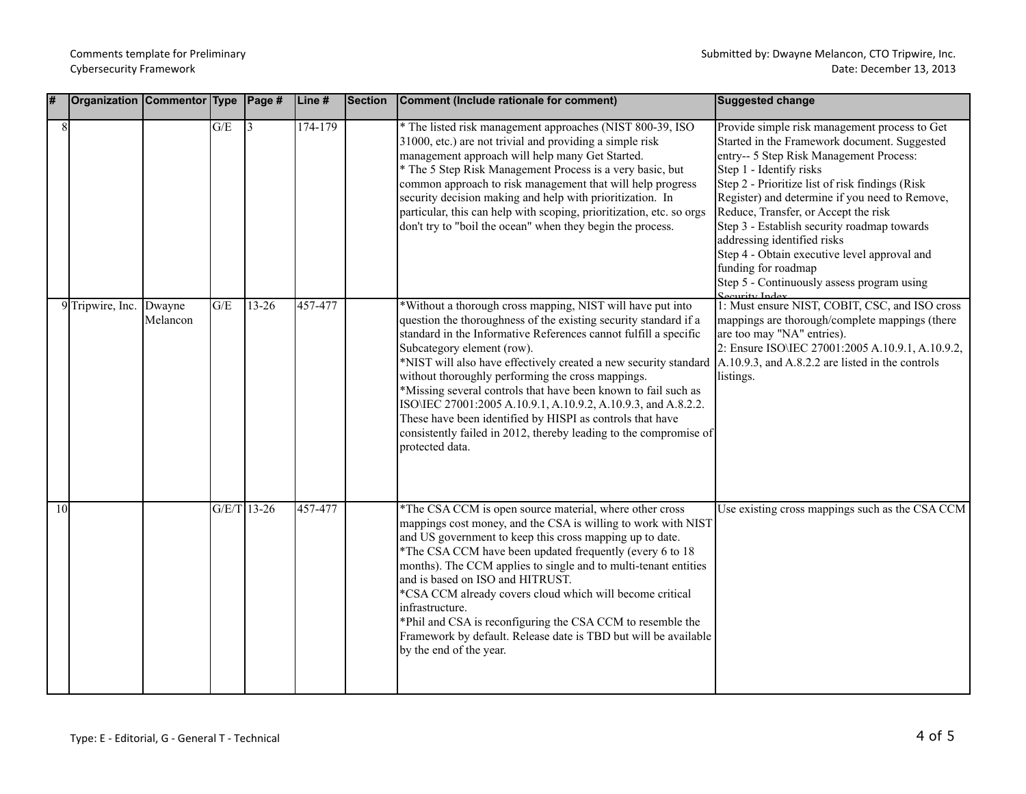| # |    | Organization Commentor Type Page # |                    |     |               | Line#   | Section | Comment (Include rationale for comment)                                                                                                                                                                                                                                                                                                                                                                                                                                                                                                                                                                                                           | <b>Suggested change</b>                                                                                                                                                                                                                                                                                                                                                                                                                                                                                                               |
|---|----|------------------------------------|--------------------|-----|---------------|---------|---------|---------------------------------------------------------------------------------------------------------------------------------------------------------------------------------------------------------------------------------------------------------------------------------------------------------------------------------------------------------------------------------------------------------------------------------------------------------------------------------------------------------------------------------------------------------------------------------------------------------------------------------------------------|---------------------------------------------------------------------------------------------------------------------------------------------------------------------------------------------------------------------------------------------------------------------------------------------------------------------------------------------------------------------------------------------------------------------------------------------------------------------------------------------------------------------------------------|
|   | 8  |                                    |                    | G/E | 3             | 174-179 |         | * The listed risk management approaches (NIST 800-39, ISO<br>31000, etc.) are not trivial and providing a simple risk<br>management approach will help many Get Started.<br>* The 5 Step Risk Management Process is a very basic, but<br>common approach to risk management that will help progress<br>security decision making and help with prioritization. In<br>particular, this can help with scoping, prioritization, etc. so orgs<br>don't try to "boil the ocean" when they begin the process.                                                                                                                                            | Provide simple risk management process to Get<br>Started in the Framework document. Suggested<br>entry-- 5 Step Risk Management Process:<br>Step 1 - Identify risks<br>Step 2 - Prioritize list of risk findings (Risk<br>Register) and determine if you need to Remove,<br>Reduce, Transfer, or Accept the risk<br>Step 3 - Establish security roadmap towards<br>addressing identified risks<br>Step 4 - Obtain executive level approval and<br>funding for roadmap<br>Step 5 - Continuously assess program using<br>Security Index |
|   |    | 9 Tripwire, Inc.                   | Dwayne<br>Melancon | G/E | $13 - 26$     | 457-477 |         | *Without a thorough cross mapping, NIST will have put into<br>question the thoroughness of the existing security standard if a<br>standard in the Informative References cannot fulfill a specific<br>Subcategory element (row).<br>*NIST will also have effectively created a new security standard<br>without thoroughly performing the cross mappings.<br>*Missing several controls that have been known to fail such as<br>ISO\IEC 27001:2005 A.10.9.1, A.10.9.2, A.10.9.3, and A.8.2.2.<br>These have been identified by HISPI as controls that have<br>consistently failed in 2012, thereby leading to the compromise of<br>protected data. | 1: Must ensure NIST, COBIT, CSC, and ISO cross<br>mappings are thorough/complete mappings (there<br>are too may "NA" entries).<br>2: Ensure ISO\IEC 27001:2005 A.10.9.1, A.10.9.2,<br>$[A.10.9.3, and A.8.2.2 are listed in the controls$<br>listings.                                                                                                                                                                                                                                                                                |
|   | 10 |                                    |                    |     | $G/E/T$ 13-26 | 457-477 |         | *The CSA CCM is open source material, where other cross<br>mappings cost money, and the CSA is willing to work with NIST<br>and US government to keep this cross mapping up to date.<br>*The CSA CCM have been updated frequently (every 6 to 18<br>months). The CCM applies to single and to multi-tenant entities<br>and is based on ISO and HITRUST.<br>*CSA CCM already covers cloud which will become critical<br>infrastructure.<br>*Phil and CSA is reconfiguring the CSA CCM to resemble the<br>Framework by default. Release date is TBD but will be available<br>by the end of the year.                                                | Use existing cross mappings such as the CSA CCM                                                                                                                                                                                                                                                                                                                                                                                                                                                                                       |